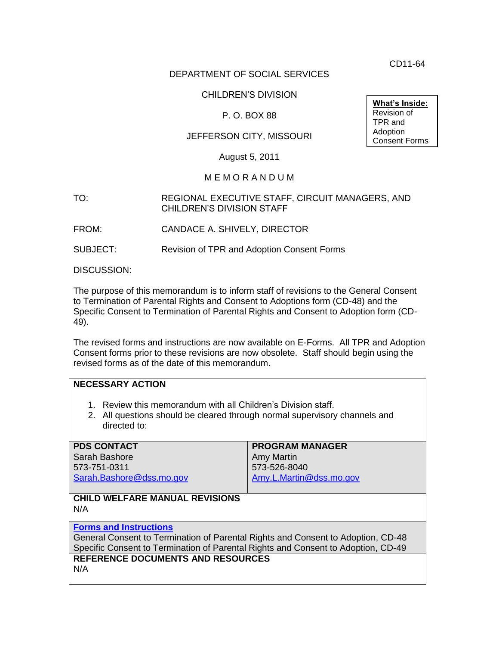CD11-64

### DEPARTMENT OF SOCIAL SERVICES

## CHILDREN'S DIVISION

### P. O. BOX 88

## JEFFERSON CITY, MISSOURI

August 5, 2011

#### M E M O R A N D U M

#### TO: REGIONAL EXECUTIVE STAFF, CIRCUIT MANAGERS, AND CHILDREN'S DIVISION STAFF

FROM: CANDACE A. SHIVELY, DIRECTOR

SUBJECT: Revision of TPR and Adoption Consent Forms

DISCUSSION:

The purpose of this memorandum is to inform staff of revisions to the General Consent to Termination of Parental Rights and Consent to Adoptions form (CD-48) and the Specific Consent to Termination of Parental Rights and Consent to Adoption form (CD-49).

The revised forms and instructions are now available on E-Forms. All TPR and Adoption Consent forms prior to these revisions are now obsolete. Staff should begin using the revised forms as of the date of this memorandum.

#### **NECESSARY ACTION**

- 1. Review this memorandum with all Children's Division staff.
- 2. All questions should be cleared through normal supervisory channels and directed to:

| <b>PDS CONTACT</b>                                                                | <b>PROGRAM MANAGER</b>  |
|-----------------------------------------------------------------------------------|-------------------------|
| Sarah Bashore                                                                     | <b>Amy Martin</b>       |
| 573-751-0311                                                                      | 573-526-8040            |
| Sarah.Bashore@dss.mo.gov                                                          | Amy.L.Martin@dss.mo.gov |
|                                                                                   |                         |
| <b>CHILD WELFARE MANUAL REVISIONS</b>                                             |                         |
| N/A                                                                               |                         |
|                                                                                   |                         |
| <b>Forms and Instructions</b>                                                     |                         |
| General Consent to Termination of Parental Rights and Consent to Adoption, CD-48  |                         |
| Specific Consent to Termination of Parental Rights and Consent to Adoption, CD-49 |                         |
| <b>REFERENCE DOCUMENTS AND RESOURCES</b>                                          |                         |
| N/A                                                                               |                         |
|                                                                                   |                         |

**What's Inside:** Revision of TPR and Adoption Consent Forms